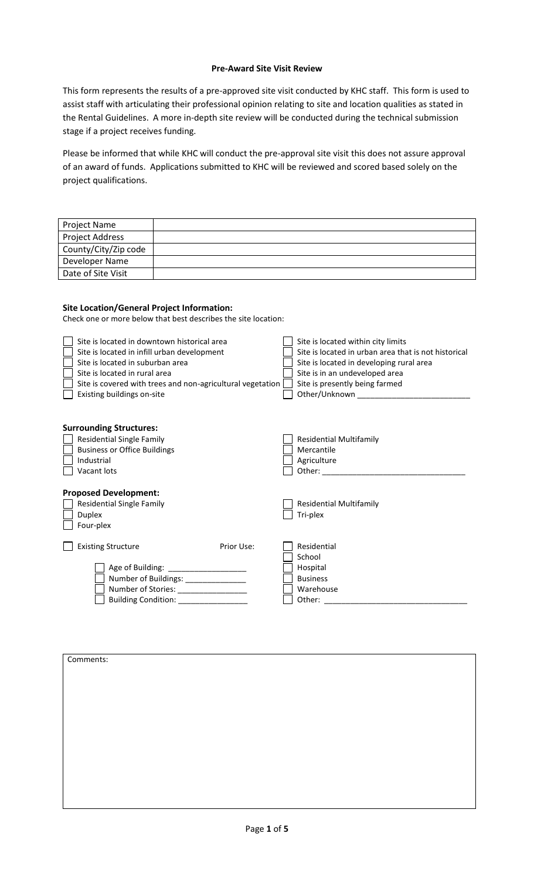## **Pre-Award Site Visit Review**

This form represents the results of a pre-approved site visit conducted by KHC staff. This form is used to assist staff with articulating their professional opinion relating to site and location qualities as stated in the Rental Guidelines. A more in-depth site review will be conducted during the technical submission stage if a project receives funding.

Please be informed that while KHC will conduct the pre-approval site visit this does not assure approval of an award of funds. Applications submitted to KHC will be reviewed and scored based solely on the project qualifications.

| Project Name                                                                                     |                                                                |                                                                            |
|--------------------------------------------------------------------------------------------------|----------------------------------------------------------------|----------------------------------------------------------------------------|
| <b>Project Address</b>                                                                           |                                                                |                                                                            |
| County/City/Zip code                                                                             |                                                                |                                                                            |
| Developer Name                                                                                   |                                                                |                                                                            |
| Date of Site Visit                                                                               |                                                                |                                                                            |
|                                                                                                  |                                                                |                                                                            |
| <b>Site Location/General Project Information:</b><br>Site is located in downtown historical area | Check one or more below that best describes the site location: | Site is located within city limits                                         |
| Site is located in infill urban development<br>Site is located in suburban area                  |                                                                | Site is located in urban area that is not historical                       |
| Site is located in rural area                                                                    |                                                                | Site is located in developing rural area<br>Site is in an undeveloped area |
|                                                                                                  | Site is covered with trees and non-agricultural vegetation     | Site is presently being farmed                                             |
| Existing buildings on-site                                                                       |                                                                | Other/Unknown ___________                                                  |
| <b>Surrounding Structures:</b>                                                                   |                                                                |                                                                            |
| <b>Residential Single Family</b><br><b>Business or Office Buildings</b>                          |                                                                | <b>Residential Multifamily</b><br>Mercantile                               |
| Industrial                                                                                       |                                                                | Agriculture                                                                |
| Vacant lots                                                                                      |                                                                |                                                                            |
| <b>Proposed Development:</b><br><b>Residential Single Family</b><br><b>Duplex</b><br>Four-plex   |                                                                | <b>Residential Multifamily</b><br>Tri-plex                                 |
| <b>Existing Structure</b>                                                                        | Prior Use:                                                     | Residential                                                                |
|                                                                                                  | Age of Building: ____________________                          | School<br>Hospital                                                         |
|                                                                                                  | Number of Buildings: ______________                            | <b>Business</b><br>Warehouse                                               |
|                                                                                                  | Building Condition: _______________                            |                                                                            |
|                                                                                                  |                                                                |                                                                            |

| Comments: |  |
|-----------|--|
|           |  |
|           |  |
|           |  |
|           |  |
|           |  |
|           |  |
|           |  |
|           |  |
|           |  |
|           |  |
|           |  |
|           |  |
|           |  |
|           |  |
|           |  |
|           |  |
|           |  |
|           |  |
|           |  |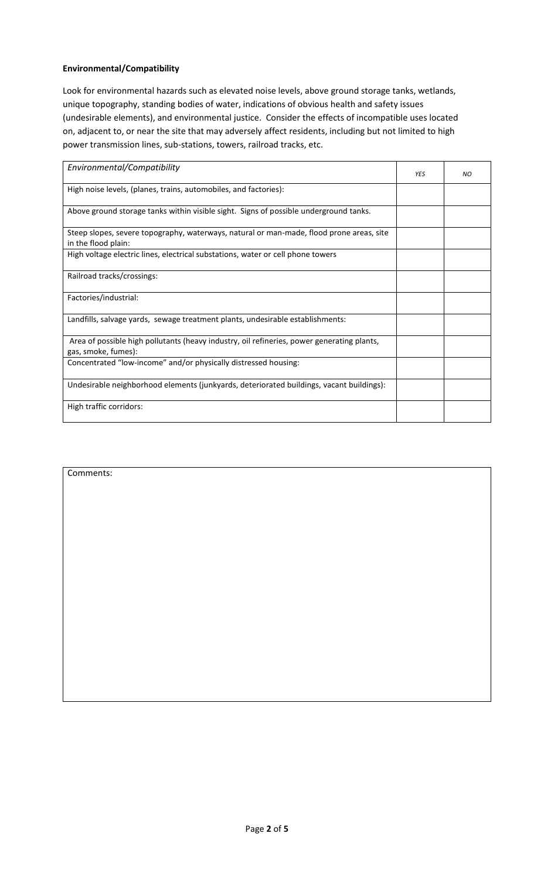## **Environmental/Compatibility**

Look for environmental hazards such as elevated noise levels, above ground storage tanks, wetlands, unique topography, standing bodies of water, indications of obvious health and safety issues (undesirable elements), and environmental justice. Consider the effects of incompatible uses located on, adjacent to, or near the site that may adversely affect residents, including but not limited to high power transmission lines, sub-stations, towers, railroad tracks, etc.

| Environmental/Compatibility                                                                                       | <b>YES</b> | NO. |
|-------------------------------------------------------------------------------------------------------------------|------------|-----|
| High noise levels, (planes, trains, automobiles, and factories):                                                  |            |     |
| Above ground storage tanks within visible sight. Signs of possible underground tanks.                             |            |     |
| Steep slopes, severe topography, waterways, natural or man-made, flood prone areas, site<br>in the flood plain:   |            |     |
| High voltage electric lines, electrical substations, water or cell phone towers                                   |            |     |
| Railroad tracks/crossings:                                                                                        |            |     |
| Factories/industrial:                                                                                             |            |     |
| Landfills, salvage yards, sewage treatment plants, undesirable establishments:                                    |            |     |
| Area of possible high pollutants (heavy industry, oil refineries, power generating plants,<br>gas, smoke, fumes): |            |     |
| Concentrated "low-income" and/or physically distressed housing:                                                   |            |     |
| Undesirable neighborhood elements (junkyards, deteriorated buildings, vacant buildings):                          |            |     |
| High traffic corridors:                                                                                           |            |     |
|                                                                                                                   |            |     |

| Comments: |  |
|-----------|--|
|           |  |
|           |  |
|           |  |
|           |  |
|           |  |
|           |  |
|           |  |
|           |  |
|           |  |
|           |  |
|           |  |
|           |  |
|           |  |
|           |  |
|           |  |
|           |  |
|           |  |
|           |  |
|           |  |
|           |  |
|           |  |
|           |  |
|           |  |
|           |  |
|           |  |
|           |  |
|           |  |
|           |  |
|           |  |
|           |  |
|           |  |
|           |  |
|           |  |
|           |  |
|           |  |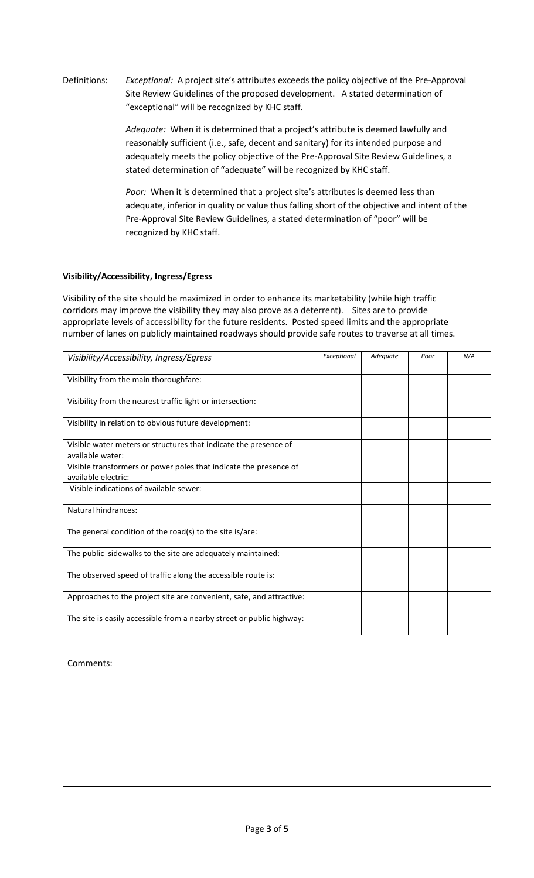Definitions: *Exceptional:* A project site's attributes exceeds the policy objective of the Pre-Approval Site Review Guidelines of the proposed development. A stated determination of "exceptional" will be recognized by KHC staff.

> *Adequate:* When it is determined that a project's attribute is deemed lawfully and reasonably sufficient (i.e., safe, decent and sanitary) for its intended purpose and adequately meets the policy objective of the Pre-Approval Site Review Guidelines, a stated determination of "adequate" will be recognized by KHC staff.

*Poor:* When it is determined that a project site's attributes is deemed less than adequate, inferior in quality or value thus falling short of the objective and intent of the Pre-Approval Site Review Guidelines, a stated determination of "poor" will be recognized by KHC staff.

# **Visibility/Accessibility, Ingress/Egress**

Visibility of the site should be maximized in order to enhance its marketability (while high traffic corridors may improve the visibility they may also prove as a deterrent). Sites are to provide appropriate levels of accessibility for the future residents. Posted speed limits and the appropriate number of lanes on publicly maintained roadways should provide safe routes to traverse at all times.

| Visibility/Accessibility, Ingress/Egress                                                 | Exceptional | Adequate | Poor | N/A |
|------------------------------------------------------------------------------------------|-------------|----------|------|-----|
| Visibility from the main thoroughfare:                                                   |             |          |      |     |
| Visibility from the nearest traffic light or intersection:                               |             |          |      |     |
| Visibility in relation to obvious future development:                                    |             |          |      |     |
| Visible water meters or structures that indicate the presence of<br>available water:     |             |          |      |     |
| Visible transformers or power poles that indicate the presence of<br>available electric: |             |          |      |     |
| Visible indications of available sewer:                                                  |             |          |      |     |
| Natural hindrances:                                                                      |             |          |      |     |
| The general condition of the road(s) to the site is/are:                                 |             |          |      |     |
| The public sidewalks to the site are adequately maintained:                              |             |          |      |     |
| The observed speed of traffic along the accessible route is:                             |             |          |      |     |
| Approaches to the project site are convenient, safe, and attractive:                     |             |          |      |     |
| The site is easily accessible from a nearby street or public highway:                    |             |          |      |     |

Comments: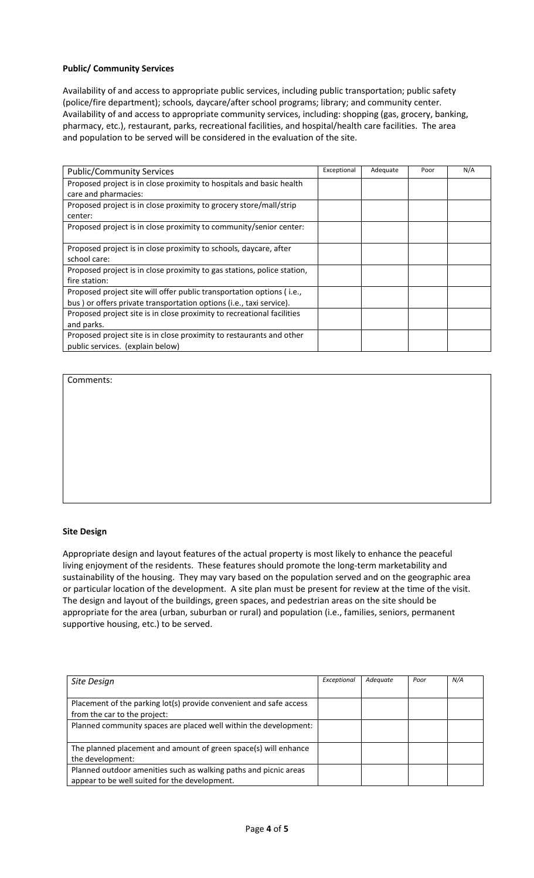### **Public/ Community Services**

Availability of and access to appropriate public services, including public transportation; public safety (police/fire department); schools, daycare/after school programs; library; and community center. Availability of and access to appropriate community services, including: shopping (gas, grocery, banking, pharmacy, etc.), restaurant, parks, recreational facilities, and hospital/health care facilities. The area and population to be served will be considered in the evaluation of the site.

| <b>Public/Community Services</b>                                        | Exceptional | Adequate | Poor | N/A |
|-------------------------------------------------------------------------|-------------|----------|------|-----|
|                                                                         |             |          |      |     |
| Proposed project is in close proximity to hospitals and basic health    |             |          |      |     |
| care and pharmacies:                                                    |             |          |      |     |
| Proposed project is in close proximity to grocery store/mall/strip      |             |          |      |     |
| center:                                                                 |             |          |      |     |
| Proposed project is in close proximity to community/senior center:      |             |          |      |     |
|                                                                         |             |          |      |     |
| Proposed project is in close proximity to schools, daycare, after       |             |          |      |     |
| school care:                                                            |             |          |      |     |
| Proposed project is in close proximity to gas stations, police station, |             |          |      |     |
| fire station:                                                           |             |          |      |     |
| Proposed project site will offer public transportation options (i.e.,   |             |          |      |     |
| bus) or offers private transportation options (i.e., taxi service).     |             |          |      |     |
| Proposed project site is in close proximity to recreational facilities  |             |          |      |     |
| and parks.                                                              |             |          |      |     |
| Proposed project site is in close proximity to restaurants and other    |             |          |      |     |
| public services. (explain below)                                        |             |          |      |     |

Comments:

#### **Site Design**

Appropriate design and layout features of the actual property is most likely to enhance the peaceful living enjoyment of the residents. These features should promote the long-term marketability and sustainability of the housing. They may vary based on the population served and on the geographic area or particular location of the development. A site plan must be present for review at the time of the visit. The design and layout of the buildings, green spaces, and pedestrian areas on the site should be appropriate for the area (urban, suburban or rural) and population (i.e., families, seniors, permanent supportive housing, etc.) to be served.

| Site Design                                                                                                       | Exceptional | Adequate | Poor | N/A |
|-------------------------------------------------------------------------------------------------------------------|-------------|----------|------|-----|
| Placement of the parking lot(s) provide convenient and safe access<br>from the car to the project:                |             |          |      |     |
| Planned community spaces are placed well within the development:                                                  |             |          |      |     |
| The planned placement and amount of green space(s) will enhance<br>the development:                               |             |          |      |     |
| Planned outdoor amenities such as walking paths and picnic areas<br>appear to be well suited for the development. |             |          |      |     |